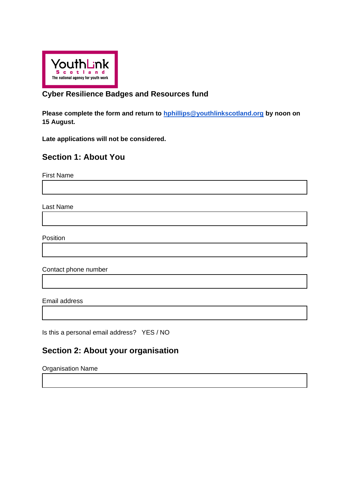

### **Cyber Resilience Badges and Resources fund**

**Please complete the form and return to [hphillips@youthlinkscotland.org](mailto:hphillips@youthlinkscotland.org) by noon on 15 August.**

**Late applications will not be considered.**

# **Section 1: About You**

First Name

Last Name

Position

Contact phone number

Email address

Is this a personal email address? YES / NO

# **Section 2: About your organisation**

Organisation Name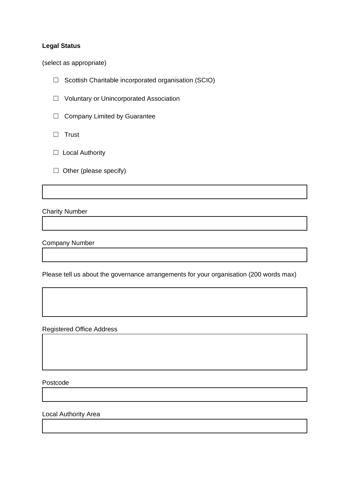#### **Legal Status**

(select as appropriate)

☐ Scottish Charitable incorporated organisation (SCIO)

☐ Voluntary or Unincorporated Association

□ Company Limited by Guarantee

☐ Trust

□ Local Authority

 $\Box$  Other (please specify)

Charity Number

Company Number

Please tell us about the governance arrangements for your organisation (200 words max)

Registered Office Address

Postcode

Local Authority Area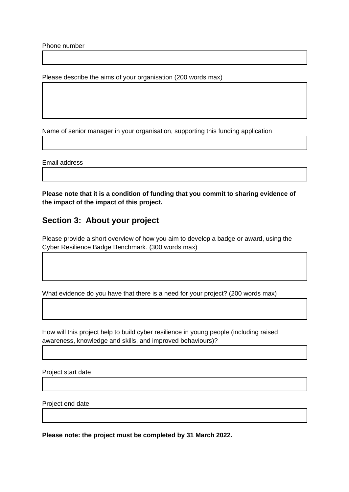Phone number

Please describe the aims of your organisation (200 words max)

Name of senior manager in your organisation, supporting this funding application

Email address

**Please note that it is a condition of funding that you commit to sharing evidence of the impact of the impact of this project.**

### **Section 3: About your project**

Please provide a short overview of how you aim to develop a badge or award, using the Cyber Resilience Badge Benchmark. (300 words max)

What evidence do you have that there is a need for your project? (200 words max)

How will this project help to build cyber resilience in young people (including raised awareness, knowledge and skills, and improved behaviours)?

Project start date

Project end date

**Please note: the project must be completed by 31 March 2022.**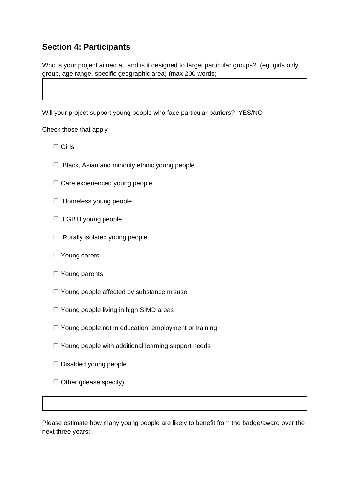# **Section 4: Participants**

Who is your project aimed at, and is it designed to target particular groups? (eg. girls only group, age range, specific geographic area) (max 200 words)

Will your project support young people who face particular barriers? YES/NO

Check those that apply

- ☐ Girls
- $\Box$  Black, Asian and minority ethnic young people
- ☐ Care experienced young people
- ☐ Homeless young people
- □ LGBTI young people
- $\Box$  Rurally isolated young people
- □ Young carers
- □ Young parents
- $\Box$  Young people affected by substance misuse
- $\Box$  Young people living in high SIMD areas
- $\Box$  Young people not in education, employment or training
- $\Box$  Young people with additional learning support needs
- ☐ Disabled young people
- $\Box$  Other (please specify)

Please estimate how many young people are likely to benefit from the badge/award over the next three years: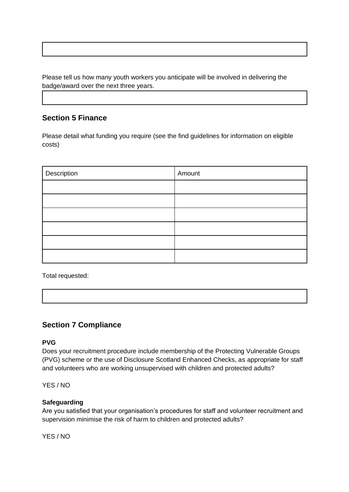Please tell us how many youth workers you anticipate will be involved in delivering the badge/award over the next three years.

### **Section 5 Finance**

Please detail what funding you require (see the find guidelines for information on eligible costs)

| Description | Amount |
|-------------|--------|
|             |        |
|             |        |
|             |        |
|             |        |
|             |        |
|             |        |

Total requested:

# **Section 7 Compliance**

### **PVG**

Does your recruitment procedure include membership of the Protecting Vulnerable Groups (PVG) scheme or the use of Disclosure Scotland Enhanced Checks, as appropriate for staff and volunteers who are working unsupervised with children and protected adults?

YES / NO

#### **Safeguarding**

Are you satisfied that your organisation's procedures for staff and volunteer recruitment and supervision minimise the risk of harm to children and protected adults?

YES / NO